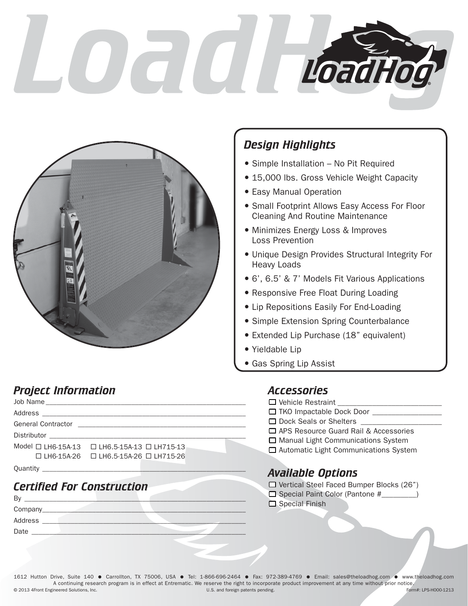# $\overline{\mathbf{C}}$  $\overline{\mathcal{L}}$ LoadHod



## *Design Highlights*

- Simple Installation No Pit Required
- 15,000 lbs. Gross Vehicle Weight Capacity
- Easy Manual Operation
- **Small Footprint Allows Easy Access For Floor** Cleaning And Routine Maintenance
- Minimizes Energy Loss & Improves Loss Prevention
- Unique Design Provides Structural Integrity For Heavy Loads
- 6', 6.5' & 7' Models Fit Various Applications
- Responsive Free Float During Loading
- Lip Repositions Easily For End-Loading
- **Simple Extension Spring Counterbalance**
- Extended Lip Purchase (18" equivalent)
- Yieldable Lip
- Gas Spring Lip Assist

### *Project Information*

| Model $\Box$ I H6-15A-13 $\Box$ I H6.5-15A-13 $\Box$ I H715-13 |  |
|----------------------------------------------------------------|--|
| □ LH6-15A-26 □ LH6.5-15A-26 □ LH715-26                         |  |
|                                                                |  |

### *Certified For Construction*

| B١      |  |  |
|---------|--|--|
| Company |  |  |
| Address |  |  |
| Date    |  |  |
|         |  |  |

#### *Accessories*

| □ Vehicle Restraint                          |
|----------------------------------------------|
| □ TKO Impactable Dock Door                   |
| □ Dock Seals or Shelters                     |
| □ APS Resource Guard Rail & Accessories      |
| $\Box$ Manual Light Communications System    |
| $\Box$ Automatic Light Communications System |

#### *Available Options*

| $\Box$ Vertical Steel Faced Bumper Blocks (26") |  |  |  |
|-------------------------------------------------|--|--|--|
| $\Box$ Special Paint Color (Pantone #           |  |  |  |
| $\Box$ Special Finish                           |  |  |  |

© 2013 4Front Engineered Solutions, Inc. 1612 Hutton Drive, Suite 140 · Carrollton, TX 75006, USA · Tel: 1-866-696-2464 · Fax: 972-389-4769 · Email: sales@theloadhog.com · www.theloadhog.com A continuing research program is in effect at Entrematic. We reserve the right to incorporate product improvement at any time without prior notice.<br>U.S. and foreign patents pending. [19] U.S. and foreign patents pending. U.S. and foreign patents pending.